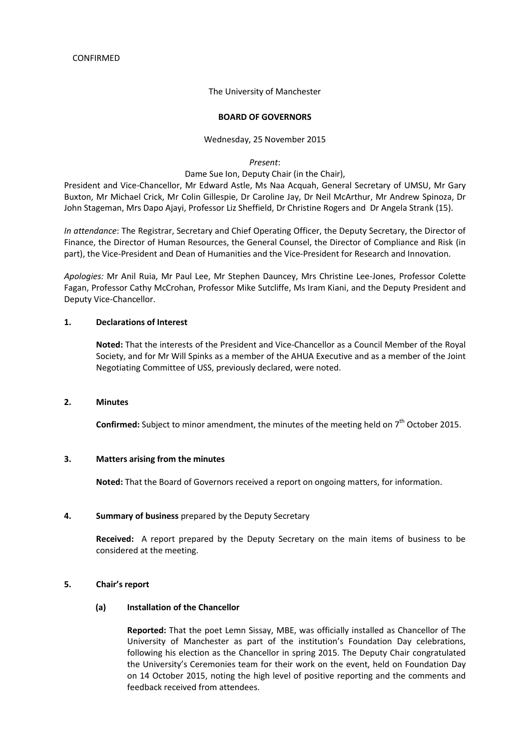The University of Manchester

#### **BOARD OF GOVERNORS**

#### Wednesday, 25 November 2015

*Present*:

Dame Sue Ion, Deputy Chair (in the Chair),

President and Vice-Chancellor, Mr Edward Astle, Ms Naa Acquah, General Secretary of UMSU, Mr Gary Buxton, Mr Michael Crick, Mr Colin Gillespie, Dr Caroline Jay, Dr Neil McArthur, Mr Andrew Spinoza, Dr John Stageman, Mrs Dapo Ajayi, Professor Liz Sheffield, Dr Christine Rogers and Dr Angela Strank (15).

*In attendance*: The Registrar, Secretary and Chief Operating Officer, the Deputy Secretary, the Director of Finance, the Director of Human Resources, the General Counsel, the Director of Compliance and Risk (in part), the Vice-President and Dean of Humanities and the Vice-President for Research and Innovation.

*Apologies:* Mr Anil Ruia, Mr Paul Lee, Mr Stephen Dauncey, Mrs Christine Lee-Jones, Professor Colette Fagan, Professor Cathy McCrohan, Professor Mike Sutcliffe, Ms Iram Kiani, and the Deputy President and Deputy Vice-Chancellor.

### **1. Declarations of Interest**

**Noted:** That the interests of the President and Vice-Chancellor as a Council Member of the Royal Society, and for Mr Will Spinks as a member of the AHUA Executive and as a member of the Joint Negotiating Committee of USS, previously declared, were noted.

#### **2. Minutes**

Confirmed: Subject to minor amendment, the minutes of the meeting held on 7<sup>th</sup> October 2015.

#### **3. Matters arising from the minutes**

**Noted:** That the Board of Governors received a report on ongoing matters, for information.

#### **4. Summary of business** prepared by the Deputy Secretary

**Received:** A report prepared by the Deputy Secretary on the main items of business to be considered at the meeting.

### **5. Chair's report**

### **(a) Installation of the Chancellor**

**Reported:** That the poet Lemn Sissay, MBE, was officially installed as Chancellor of The University of Manchester as part of the institution's Foundation Day celebrations, following his election as the Chancellor in spring 2015. The Deputy Chair congratulated the University's Ceremonies team for their work on the event, held on Foundation Day on 14 October 2015, noting the high level of positive reporting and the comments and feedback received from attendees.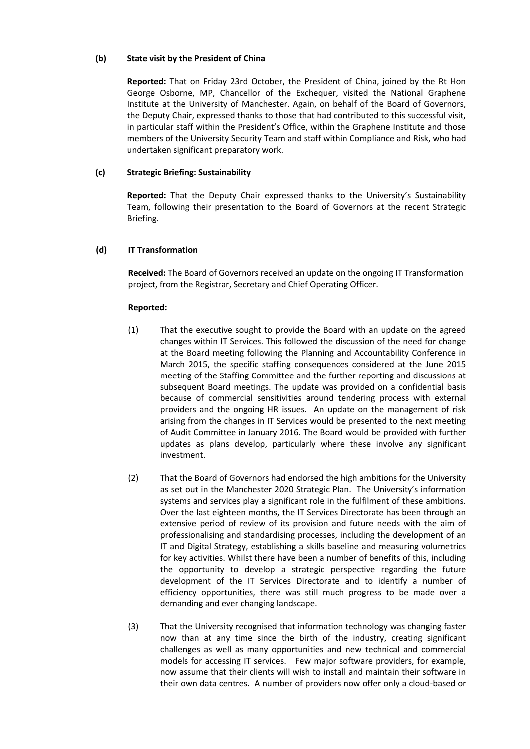# **(b) State visit by the President of China**

**Reported:** That on Friday 23rd October, the President of China, joined by the Rt Hon George Osborne, MP, Chancellor of the Exchequer, visited the National Graphene Institute at the University of Manchester. Again, on behalf of the Board of Governors, the Deputy Chair, expressed thanks to those that had contributed to this successful visit, in particular staff within the President's Office, within the Graphene Institute and those members of the University Security Team and staff within Compliance and Risk, who had undertaken significant preparatory work.

## **(c) Strategic Briefing: Sustainability**

**Reported:** That the Deputy Chair expressed thanks to the University's Sustainability Team, following their presentation to the Board of Governors at the recent Strategic Briefing.

## **(d) IT Transformation**

**Received:** The Board of Governors received an update on the ongoing IT Transformation project, from the Registrar, Secretary and Chief Operating Officer.

- (1) That the executive sought to provide the Board with an update on the agreed changes within IT Services. This followed the discussion of the need for change at the Board meeting following the Planning and Accountability Conference in March 2015, the specific staffing consequences considered at the June 2015 meeting of the Staffing Committee and the further reporting and discussions at subsequent Board meetings. The update was provided on a confidential basis because of commercial sensitivities around tendering process with external providers and the ongoing HR issues. An update on the management of risk arising from the changes in IT Services would be presented to the next meeting of Audit Committee in January 2016. The Board would be provided with further updates as plans develop, particularly where these involve any significant investment.
- (2) That the Board of Governors had endorsed the high ambitions for the University as set out in the Manchester 2020 Strategic Plan. The University's information systems and services play a significant role in the fulfilment of these ambitions. Over the last eighteen months, the IT Services Directorate has been through an extensive period of review of its provision and future needs with the aim of professionalising and standardising processes, including the development of an IT and Digital Strategy, establishing a skills baseline and measuring volumetrics for key activities. Whilst there have been a number of benefits of this, including the opportunity to develop a strategic perspective regarding the future development of the IT Services Directorate and to identify a number of efficiency opportunities, there was still much progress to be made over a demanding and ever changing landscape.
- (3) That the University recognised that information technology was changing faster now than at any time since the birth of the industry, creating significant challenges as well as many opportunities and new technical and commercial models for accessing IT services. Few major software providers, for example, now assume that their clients will wish to install and maintain their software in their own data centres. A number of providers now offer only a cloud-based or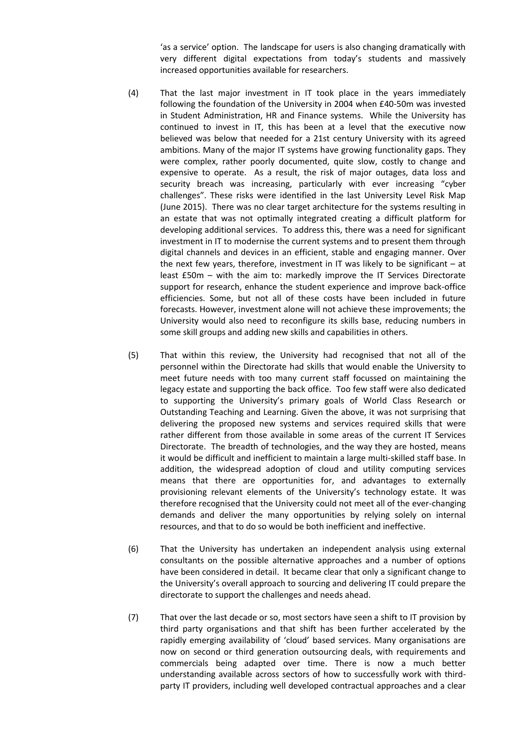'as a service' option. The landscape for users is also changing dramatically with very different digital expectations from today's students and massively increased opportunities available for researchers.

- (4) That the last major investment in IT took place in the years immediately following the foundation of the University in 2004 when £40-50m was invested in Student Administration, HR and Finance systems. While the University has continued to invest in IT, this has been at a level that the executive now believed was below that needed for a 21st century University with its agreed ambitions. Many of the major IT systems have growing functionality gaps. They were complex, rather poorly documented, quite slow, costly to change and expensive to operate. As a result, the risk of major outages, data loss and security breach was increasing, particularly with ever increasing "cyber challenges". These risks were identified in the last University Level Risk Map (June 2015). There was no clear target architecture for the systems resulting in an estate that was not optimally integrated creating a difficult platform for developing additional services. To address this, there was a need for significant investment in IT to modernise the current systems and to present them through digital channels and devices in an efficient, stable and engaging manner. Over the next few years, therefore, investment in IT was likely to be significant – at least £50m – with the aim to: markedly improve the IT Services Directorate support for research, enhance the student experience and improve back-office efficiencies. Some, but not all of these costs have been included in future forecasts. However, investment alone will not achieve these improvements; the University would also need to reconfigure its skills base, reducing numbers in some skill groups and adding new skills and capabilities in others.
- (5) That within this review, the University had recognised that not all of the personnel within the Directorate had skills that would enable the University to meet future needs with too many current staff focussed on maintaining the legacy estate and supporting the back office. Too few staff were also dedicated to supporting the University's primary goals of World Class Research or Outstanding Teaching and Learning. Given the above, it was not surprising that delivering the proposed new systems and services required skills that were rather different from those available in some areas of the current IT Services Directorate. The breadth of technologies, and the way they are hosted, means it would be difficult and inefficient to maintain a large multi-skilled staff base. In addition, the widespread adoption of cloud and utility computing services means that there are opportunities for, and advantages to externally provisioning relevant elements of the University's technology estate. It was therefore recognised that the University could not meet all of the ever-changing demands and deliver the many opportunities by relying solely on internal resources, and that to do so would be both inefficient and ineffective.
- (6) That the University has undertaken an independent analysis using external consultants on the possible alternative approaches and a number of options have been considered in detail. It became clear that only a significant change to the University's overall approach to sourcing and delivering IT could prepare the directorate to support the challenges and needs ahead.
- (7) That over the last decade or so, most sectors have seen a shift to IT provision by third party organisations and that shift has been further accelerated by the rapidly emerging availability of 'cloud' based services. Many organisations are now on second or third generation outsourcing deals, with requirements and commercials being adapted over time. There is now a much better understanding available across sectors of how to successfully work with thirdparty IT providers, including well developed contractual approaches and a clear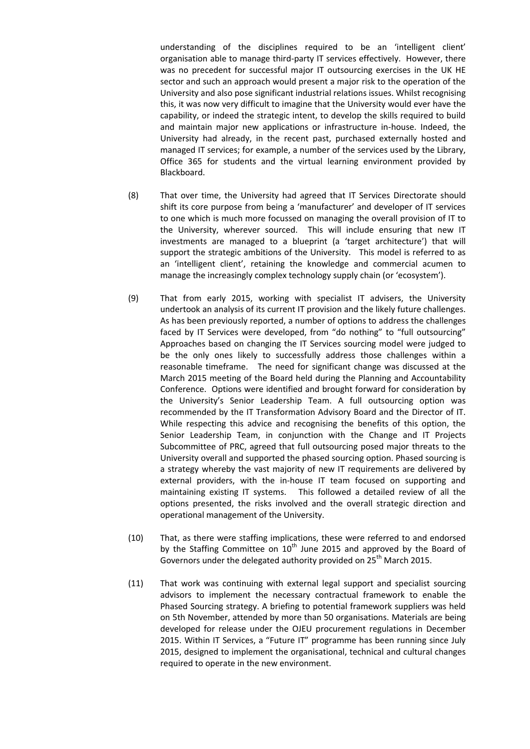understanding of the disciplines required to be an 'intelligent client' organisation able to manage third-party IT services effectively. However, there was no precedent for successful major IT outsourcing exercises in the UK HE sector and such an approach would present a major risk to the operation of the University and also pose significant industrial relations issues. Whilst recognising this, it was now very difficult to imagine that the University would ever have the capability, or indeed the strategic intent, to develop the skills required to build and maintain major new applications or infrastructure in-house. Indeed, the University had already, in the recent past, purchased externally hosted and managed IT services; for example, a number of the services used by the Library, Office 365 for students and the virtual learning environment provided by Blackboard.

- (8) That over time, the University had agreed that IT Services Directorate should shift its core purpose from being a 'manufacturer' and developer of IT services to one which is much more focussed on managing the overall provision of IT to the University, wherever sourced. This will include ensuring that new IT investments are managed to a blueprint (a 'target architecture') that will support the strategic ambitions of the University. This model is referred to as an 'intelligent client', retaining the knowledge and commercial acumen to manage the increasingly complex technology supply chain (or 'ecosystem').
- (9) That from early 2015, working with specialist IT advisers, the University undertook an analysis of its current IT provision and the likely future challenges. As has been previously reported, a number of options to address the challenges faced by IT Services were developed, from "do nothing" to "full outsourcing" Approaches based on changing the IT Services sourcing model were judged to be the only ones likely to successfully address those challenges within a reasonable timeframe. The need for significant change was discussed at the March 2015 meeting of the Board held during the Planning and Accountability Conference. Options were identified and brought forward for consideration by the University's Senior Leadership Team. A full outsourcing option was recommended by the IT Transformation Advisory Board and the Director of IT. While respecting this advice and recognising the benefits of this option, the Senior Leadership Team, in conjunction with the Change and IT Projects Subcommittee of PRC, agreed that full outsourcing posed major threats to the University overall and supported the phased sourcing option. Phased sourcing is a strategy whereby the vast majority of new IT requirements are delivered by external providers, with the in-house IT team focused on supporting and maintaining existing IT systems. This followed a detailed review of all the options presented, the risks involved and the overall strategic direction and operational management of the University.
- (10) That, as there were staffing implications, these were referred to and endorsed by the Staffing Committee on  $10^{th}$  June 2015 and approved by the Board of Governors under the delegated authority provided on 25<sup>th</sup> March 2015.
- (11) That work was continuing with external legal support and specialist sourcing advisors to implement the necessary contractual framework to enable the Phased Sourcing strategy. A briefing to potential framework suppliers was held on 5th November, attended by more than 50 organisations. Materials are being developed for release under the OJEU procurement regulations in December 2015. Within IT Services, a "Future IT" programme has been running since July 2015, designed to implement the organisational, technical and cultural changes required to operate in the new environment.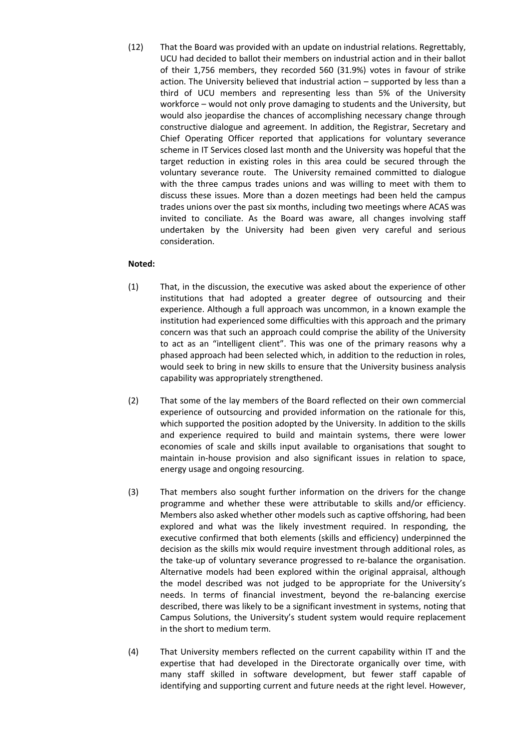(12) That the Board was provided with an update on industrial relations. Regrettably, UCU had decided to ballot their members on industrial action and in their ballot of their 1,756 members, they recorded 560 (31.9%) votes in favour of strike action. The University believed that industrial action – supported by less than a third of UCU members and representing less than 5% of the University workforce – would not only prove damaging to students and the University, but would also jeopardise the chances of accomplishing necessary change through constructive dialogue and agreement. In addition, the Registrar, Secretary and Chief Operating Officer reported that applications for voluntary severance scheme in IT Services closed last month and the University was hopeful that the target reduction in existing roles in this area could be secured through the voluntary severance route. The University remained committed to dialogue with the three campus trades unions and was willing to meet with them to discuss these issues. More than a dozen meetings had been held the campus trades unions over the past six months, including two meetings where ACAS was invited to conciliate. As the Board was aware, all changes involving staff undertaken by the University had been given very careful and serious consideration.

# **Noted:**

- (1) That, in the discussion, the executive was asked about the experience of other institutions that had adopted a greater degree of outsourcing and their experience. Although a full approach was uncommon, in a known example the institution had experienced some difficulties with this approach and the primary concern was that such an approach could comprise the ability of the University to act as an "intelligent client". This was one of the primary reasons why a phased approach had been selected which, in addition to the reduction in roles, would seek to bring in new skills to ensure that the University business analysis capability was appropriately strengthened.
- (2) That some of the lay members of the Board reflected on their own commercial experience of outsourcing and provided information on the rationale for this, which supported the position adopted by the University. In addition to the skills and experience required to build and maintain systems, there were lower economies of scale and skills input available to organisations that sought to maintain in-house provision and also significant issues in relation to space, energy usage and ongoing resourcing.
- (3) That members also sought further information on the drivers for the change programme and whether these were attributable to skills and/or efficiency. Members also asked whether other models such as captive offshoring, had been explored and what was the likely investment required. In responding, the executive confirmed that both elements (skills and efficiency) underpinned the decision as the skills mix would require investment through additional roles, as the take-up of voluntary severance progressed to re-balance the organisation. Alternative models had been explored within the original appraisal, although the model described was not judged to be appropriate for the University's needs. In terms of financial investment, beyond the re-balancing exercise described, there was likely to be a significant investment in systems, noting that Campus Solutions, the University's student system would require replacement in the short to medium term.
- (4) That University members reflected on the current capability within IT and the expertise that had developed in the Directorate organically over time, with many staff skilled in software development, but fewer staff capable of identifying and supporting current and future needs at the right level. However,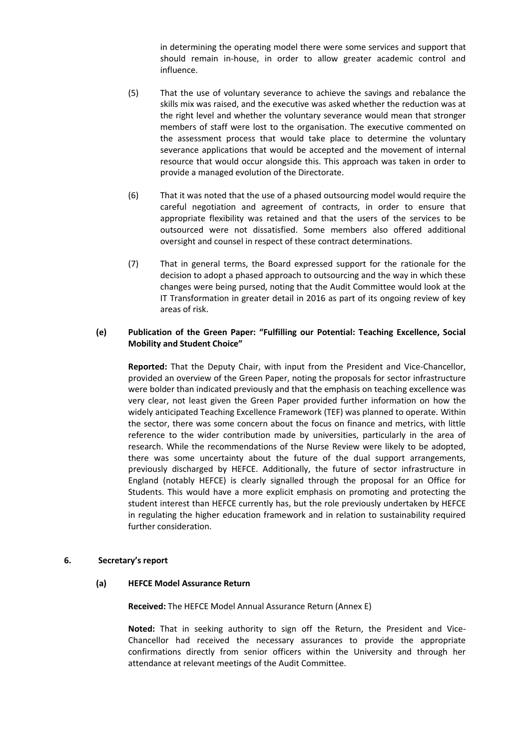in determining the operating model there were some services and support that should remain in-house, in order to allow greater academic control and influence.

- (5) That the use of voluntary severance to achieve the savings and rebalance the skills mix was raised, and the executive was asked whether the reduction was at the right level and whether the voluntary severance would mean that stronger members of staff were lost to the organisation. The executive commented on the assessment process that would take place to determine the voluntary severance applications that would be accepted and the movement of internal resource that would occur alongside this. This approach was taken in order to provide a managed evolution of the Directorate.
- (6) That it was noted that the use of a phased outsourcing model would require the careful negotiation and agreement of contracts, in order to ensure that appropriate flexibility was retained and that the users of the services to be outsourced were not dissatisfied. Some members also offered additional oversight and counsel in respect of these contract determinations.
- (7) That in general terms, the Board expressed support for the rationale for the decision to adopt a phased approach to outsourcing and the way in which these changes were being pursed, noting that the Audit Committee would look at the IT Transformation in greater detail in 2016 as part of its ongoing review of key areas of risk.

## **(e) Publication of the Green Paper: "Fulfilling our Potential: Teaching Excellence, Social Mobility and Student Choice"**

**Reported:** That the Deputy Chair, with input from the President and Vice-Chancellor, provided an overview of the Green Paper, noting the proposals for sector infrastructure were bolder than indicated previously and that the emphasis on teaching excellence was very clear, not least given the Green Paper provided further information on how the widely anticipated Teaching Excellence Framework (TEF) was planned to operate. Within the sector, there was some concern about the focus on finance and metrics, with little reference to the wider contribution made by universities, particularly in the area of research. While the recommendations of the Nurse Review were likely to be adopted, there was some uncertainty about the future of the dual support arrangements, previously discharged by HEFCE. Additionally, the future of sector infrastructure in England (notably HEFCE) is clearly signalled through the proposal for an Office for Students. This would have a more explicit emphasis on promoting and protecting the student interest than HEFCE currently has, but the role previously undertaken by HEFCE in regulating the higher education framework and in relation to sustainability required further consideration.

# **6. Secretary's report**

### **(a) HEFCE Model Assurance Return**

**Received:** The HEFCE Model Annual Assurance Return (Annex E)

**Noted:** That in seeking authority to sign off the Return, the President and Vice-Chancellor had received the necessary assurances to provide the appropriate confirmations directly from senior officers within the University and through her attendance at relevant meetings of the Audit Committee.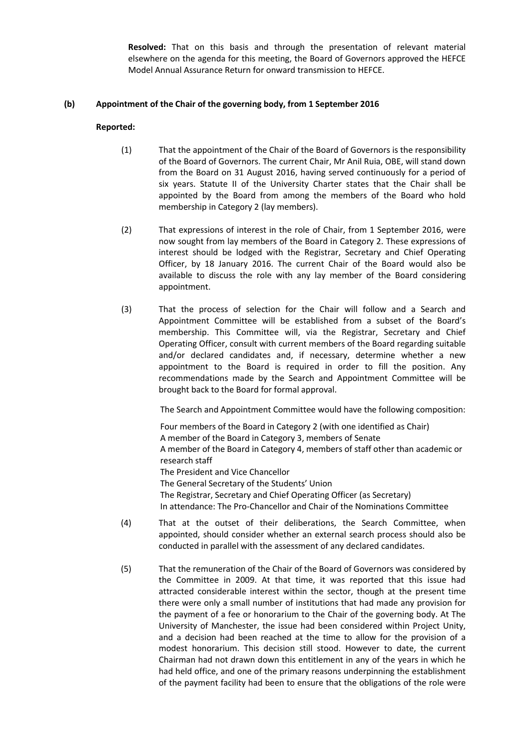**Resolved:** That on this basis and through the presentation of relevant material elsewhere on the agenda for this meeting, the Board of Governors approved the HEFCE Model Annual Assurance Return for onward transmission to HEFCE.

## **(b) Appointment of the Chair of the governing body, from 1 September 2016**

## **Reported:**

- (1) That the appointment of the Chair of the Board of Governors is the responsibility of the Board of Governors. The current Chair, Mr Anil Ruia, OBE, will stand down from the Board on 31 August 2016, having served continuously for a period of six years. Statute II of the University Charter states that the Chair shall be appointed by the Board from among the members of the Board who hold membership in Category 2 (lay members).
- (2) That expressions of interest in the role of Chair, from 1 September 2016, were now sought from lay members of the Board in Category 2. These expressions of interest should be lodged with the Registrar, Secretary and Chief Operating Officer, by 18 January 2016. The current Chair of the Board would also be available to discuss the role with any lay member of the Board considering appointment.
- (3) That the process of selection for the Chair will follow and a Search and Appointment Committee will be established from a subset of the Board's membership. This Committee will, via the Registrar, Secretary and Chief Operating Officer, consult with current members of the Board regarding suitable and/or declared candidates and, if necessary, determine whether a new appointment to the Board is required in order to fill the position. Any recommendations made by the Search and Appointment Committee will be brought back to the Board for formal approval.

The Search and Appointment Committee would have the following composition:

Four members of the Board in Category 2 (with one identified as Chair) A member of the Board in Category 3, members of Senate A member of the Board in Category 4, members of staff other than academic or research staff The President and Vice Chancellor The General Secretary of the Students' Union The Registrar, Secretary and Chief Operating Officer (as Secretary) In attendance: The Pro-Chancellor and Chair of the Nominations Committee

- (4) That at the outset of their deliberations, the Search Committee, when appointed, should consider whether an external search process should also be conducted in parallel with the assessment of any declared candidates.
- (5) That the remuneration of the Chair of the Board of Governors was considered by the Committee in 2009. At that time, it was reported that this issue had attracted considerable interest within the sector, though at the present time there were only a small number of institutions that had made any provision for the payment of a fee or honorarium to the Chair of the governing body. At The University of Manchester, the issue had been considered within Project Unity, and a decision had been reached at the time to allow for the provision of a modest honorarium. This decision still stood. However to date, the current Chairman had not drawn down this entitlement in any of the years in which he had held office, and one of the primary reasons underpinning the establishment of the payment facility had been to ensure that the obligations of the role were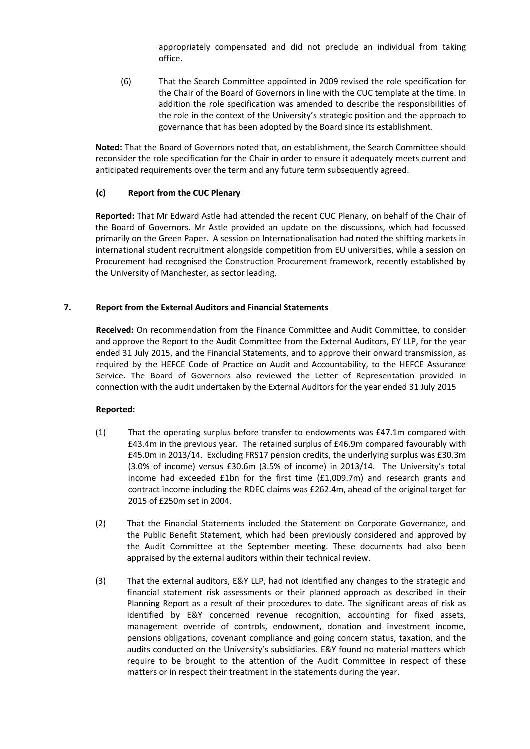appropriately compensated and did not preclude an individual from taking office.

(6) That the Search Committee appointed in 2009 revised the role specification for the Chair of the Board of Governors in line with the CUC template at the time. In addition the role specification was amended to describe the responsibilities of the role in the context of the University's strategic position and the approach to governance that has been adopted by the Board since its establishment.

**Noted:** That the Board of Governors noted that, on establishment, the Search Committee should reconsider the role specification for the Chair in order to ensure it adequately meets current and anticipated requirements over the term and any future term subsequently agreed.

# **(c) Report from the CUC Plenary**

**Reported:** That Mr Edward Astle had attended the recent CUC Plenary, on behalf of the Chair of the Board of Governors. Mr Astle provided an update on the discussions, which had focussed primarily on the Green Paper. A session on Internationalisation had noted the shifting markets in international student recruitment alongside competition from EU universities, while a session on Procurement had recognised the Construction Procurement framework, recently established by the University of Manchester, as sector leading.

## **7. Report from the External Auditors and Financial Statements**

**Received:** On recommendation from the Finance Committee and Audit Committee, to consider and approve the Report to the Audit Committee from the External Auditors, EY LLP, for the year ended 31 July 2015, and the Financial Statements, and to approve their onward transmission, as required by the HEFCE Code of Practice on Audit and Accountability, to the HEFCE Assurance Service. The Board of Governors also reviewed the Letter of Representation provided in connection with the audit undertaken by the External Auditors for the year ended 31 July 2015

- (1) That the operating surplus before transfer to endowments was £47.1m compared with £43.4m in the previous year. The retained surplus of £46.9m compared favourably with £45.0m in 2013/14. Excluding FRS17 pension credits, the underlying surplus was £30.3m (3.0% of income) versus £30.6m (3.5% of income) in 2013/14. The University's total income had exceeded £1bn for the first time (£1,009.7m) and research grants and contract income including the RDEC claims was £262.4m, ahead of the original target for 2015 of £250m set in 2004.
- (2) That the Financial Statements included the Statement on Corporate Governance, and the Public Benefit Statement, which had been previously considered and approved by the Audit Committee at the September meeting. These documents had also been appraised by the external auditors within their technical review.
- (3) That the external auditors, E&Y LLP, had not identified any changes to the strategic and financial statement risk assessments or their planned approach as described in their Planning Report as a result of their procedures to date. The significant areas of risk as identified by E&Y concerned revenue recognition, accounting for fixed assets, management override of controls, endowment, donation and investment income, pensions obligations, covenant compliance and going concern status, taxation, and the audits conducted on the University's subsidiaries. E&Y found no material matters which require to be brought to the attention of the Audit Committee in respect of these matters or in respect their treatment in the statements during the year.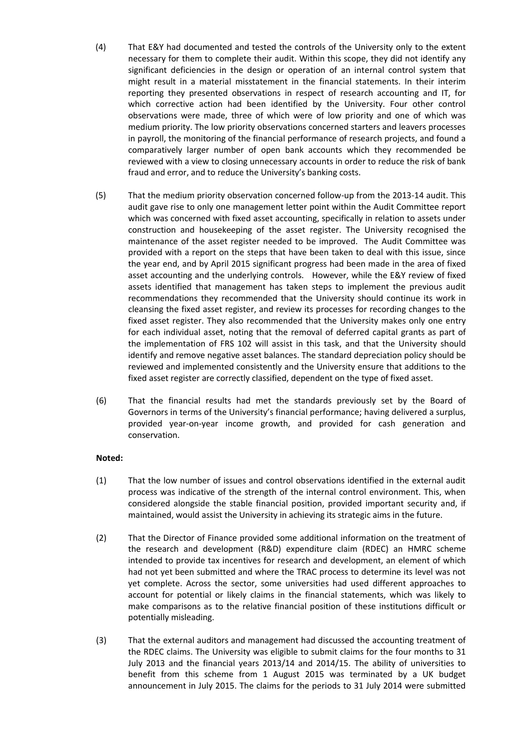- (4) That E&Y had documented and tested the controls of the University only to the extent necessary for them to complete their audit. Within this scope, they did not identify any significant deficiencies in the design or operation of an internal control system that might result in a material misstatement in the financial statements. In their interim reporting they presented observations in respect of research accounting and IT, for which corrective action had been identified by the University. Four other control observations were made, three of which were of low priority and one of which was medium priority. The low priority observations concerned starters and leavers processes in payroll, the monitoring of the financial performance of research projects, and found a comparatively larger number of open bank accounts which they recommended be reviewed with a view to closing unnecessary accounts in order to reduce the risk of bank fraud and error, and to reduce the University's banking costs.
- (5) That the medium priority observation concerned follow-up from the 2013-14 audit. This audit gave rise to only one management letter point within the Audit Committee report which was concerned with fixed asset accounting, specifically in relation to assets under construction and housekeeping of the asset register. The University recognised the maintenance of the asset register needed to be improved. The Audit Committee was provided with a report on the steps that have been taken to deal with this issue, since the year end, and by April 2015 significant progress had been made in the area of fixed asset accounting and the underlying controls. However, while the E&Y review of fixed assets identified that management has taken steps to implement the previous audit recommendations they recommended that the University should continue its work in cleansing the fixed asset register, and review its processes for recording changes to the fixed asset register. They also recommended that the University makes only one entry for each individual asset, noting that the removal of deferred capital grants as part of the implementation of FRS 102 will assist in this task, and that the University should identify and remove negative asset balances. The standard depreciation policy should be reviewed and implemented consistently and the University ensure that additions to the fixed asset register are correctly classified, dependent on the type of fixed asset.
- (6) That the financial results had met the standards previously set by the Board of Governors in terms of the University's financial performance; having delivered a surplus, provided year-on-year income growth, and provided for cash generation and conservation.

### **Noted:**

- (1) That the low number of issues and control observations identified in the external audit process was indicative of the strength of the internal control environment. This, when considered alongside the stable financial position, provided important security and, if maintained, would assist the University in achieving its strategic aims in the future.
- (2) That the Director of Finance provided some additional information on the treatment of the research and development (R&D) expenditure claim (RDEC) an HMRC scheme intended to provide tax incentives for research and development, an element of which had not yet been submitted and where the TRAC process to determine its level was not yet complete. Across the sector, some universities had used different approaches to account for potential or likely claims in the financial statements, which was likely to make comparisons as to the relative financial position of these institutions difficult or potentially misleading.
- (3) That the external auditors and management had discussed the accounting treatment of the RDEC claims. The University was eligible to submit claims for the four months to 31 July 2013 and the financial years 2013/14 and 2014/15. The ability of universities to benefit from this scheme from 1 August 2015 was terminated by a UK budget announcement in July 2015. The claims for the periods to 31 July 2014 were submitted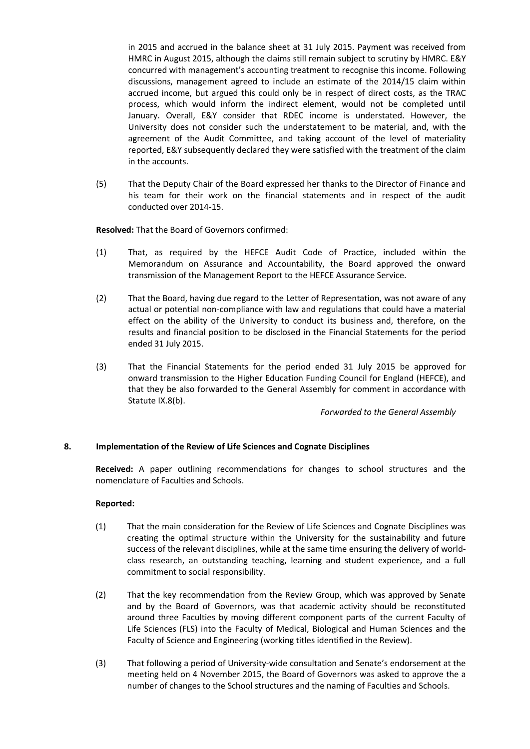in 2015 and accrued in the balance sheet at 31 July 2015. Payment was received from HMRC in August 2015, although the claims still remain subject to scrutiny by HMRC. E&Y concurred with management's accounting treatment to recognise this income. Following discussions, management agreed to include an estimate of the 2014/15 claim within accrued income, but argued this could only be in respect of direct costs, as the TRAC process, which would inform the indirect element, would not be completed until January. Overall, E&Y consider that RDEC income is understated. However, the University does not consider such the understatement to be material, and, with the agreement of the Audit Committee, and taking account of the level of materiality reported, E&Y subsequently declared they were satisfied with the treatment of the claim in the accounts.

(5) That the Deputy Chair of the Board expressed her thanks to the Director of Finance and his team for their work on the financial statements and in respect of the audit conducted over 2014-15.

**Resolved:** That the Board of Governors confirmed:

- (1) That, as required by the HEFCE Audit Code of Practice, included within the Memorandum on Assurance and Accountability, the Board approved the onward transmission of the Management Report to the HEFCE Assurance Service.
- (2) That the Board, having due regard to the Letter of Representation, was not aware of any actual or potential non-compliance with law and regulations that could have a material effect on the ability of the University to conduct its business and, therefore, on the results and financial position to be disclosed in the Financial Statements for the period ended 31 July 2015.
- (3) That the Financial Statements for the period ended 31 July 2015 be approved for onward transmission to the Higher Education Funding Council for England (HEFCE), and that they be also forwarded to the General Assembly for comment in accordance with Statute IX.8(b).

*Forwarded to the General Assembly*

### **8. Implementation of the Review of Life Sciences and Cognate Disciplines**

**Received:** A paper outlining recommendations for changes to school structures and the nomenclature of Faculties and Schools.

- (1) That the main consideration for the Review of Life Sciences and Cognate Disciplines was creating the optimal structure within the University for the sustainability and future success of the relevant disciplines, while at the same time ensuring the delivery of worldclass research, an outstanding teaching, learning and student experience, and a full commitment to social responsibility.
- (2) That the key recommendation from the Review Group, which was approved by Senate and by the Board of Governors, was that academic activity should be reconstituted around three Faculties by moving different component parts of the current Faculty of Life Sciences (FLS) into the Faculty of Medical, Biological and Human Sciences and the Faculty of Science and Engineering (working titles identified in the Review).
- (3) That following a period of University-wide consultation and Senate's endorsement at the meeting held on 4 November 2015, the Board of Governors was asked to approve the a number of changes to the School structures and the naming of Faculties and Schools.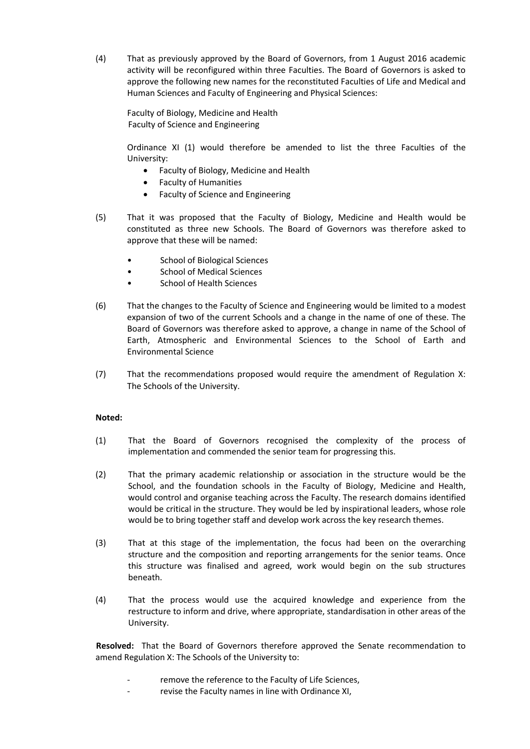(4) That as previously approved by the Board of Governors, from 1 August 2016 academic activity will be reconfigured within three Faculties. The Board of Governors is asked to approve the following new names for the reconstituted Faculties of Life and Medical and Human Sciences and Faculty of Engineering and Physical Sciences:

Faculty of Biology, Medicine and Health Faculty of Science and Engineering

Ordinance XI (1) would therefore be amended to list the three Faculties of the University:

- Faculty of Biology, Medicine and Health
- Faculty of Humanities
- Faculty of Science and Engineering
- (5) That it was proposed that the Faculty of Biology, Medicine and Health would be constituted as three new Schools. The Board of Governors was therefore asked to approve that these will be named:
	- School of Biological Sciences
	- School of Medical Sciences
	- School of Health Sciences
- (6) That the changes to the Faculty of Science and Engineering would be limited to a modest expansion of two of the current Schools and a change in the name of one of these. The Board of Governors was therefore asked to approve, a change in name of the School of Earth, Atmospheric and Environmental Sciences to the School of Earth and Environmental Science
- (7) That the recommendations proposed would require the amendment of Regulation X: The Schools of the University.

# **Noted:**

- (1) That the Board of Governors recognised the complexity of the process of implementation and commended the senior team for progressing this.
- (2) That the primary academic relationship or association in the structure would be the School, and the foundation schools in the Faculty of Biology, Medicine and Health, would control and organise teaching across the Faculty. The research domains identified would be critical in the structure. They would be led by inspirational leaders, whose role would be to bring together staff and develop work across the key research themes.
- (3) That at this stage of the implementation, the focus had been on the overarching structure and the composition and reporting arrangements for the senior teams. Once this structure was finalised and agreed, work would begin on the sub structures beneath.
- (4) That the process would use the acquired knowledge and experience from the restructure to inform and drive, where appropriate, standardisation in other areas of the University.

**Resolved:** That the Board of Governors therefore approved the Senate recommendation to amend Regulation X: The Schools of the University to:

- remove the reference to the Faculty of Life Sciences,
- revise the Faculty names in line with Ordinance XI,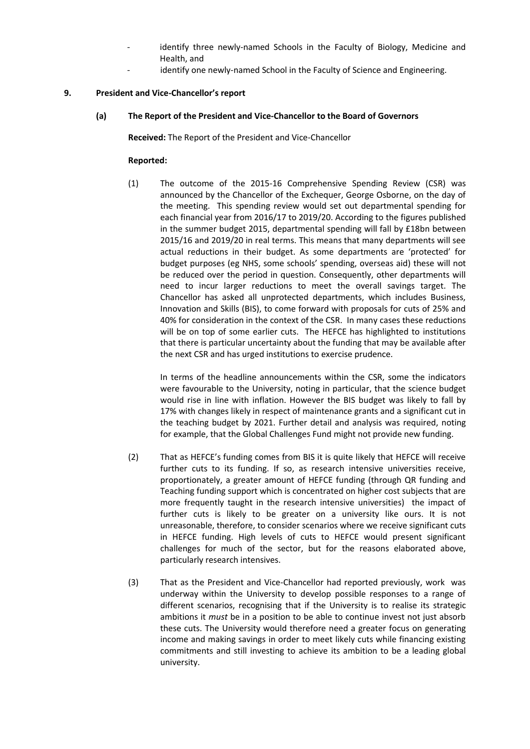- identify three newly-named Schools in the Faculty of Biology, Medicine and Health, and
- identify one newly-named School in the Faculty of Science and Engineering.

### **9. President and Vice-Chancellor's report**

# **(a) The Report of the President and Vice-Chancellor to the Board of Governors**

**Received:** The Report of the President and Vice-Chancellor

### **Reported:**

(1) The outcome of the 2015-16 Comprehensive Spending Review (CSR) was announced by the Chancellor of the Exchequer, George Osborne, on the day of the meeting. This spending review would set out departmental spending for each financial year from 2016/17 to 2019/20. According to the figures published in the summer budget 2015, departmental spending will fall by £18bn between 2015/16 and 2019/20 in real terms. This means that many departments will see actual reductions in their budget. As some departments are 'protected' for budget purposes (eg NHS, some schools' spending, overseas aid) these will not be reduced over the period in question. Consequently, other departments will need to incur larger reductions to meet the overall savings target. The Chancellor has asked all unprotected departments, which includes Business, Innovation and Skills (BIS), to come forward with proposals for cuts of 25% and 40% for consideration in the context of the CSR. In many cases these reductions will be on top of some earlier cuts. The HEFCE has highlighted to institutions that there is particular uncertainty about the funding that may be available after the next CSR and has urged institutions to exercise prudence.

In terms of the headline announcements within the CSR, some the indicators were favourable to the University, noting in particular, that the science budget would rise in line with inflation. However the BIS budget was likely to fall by 17% with changes likely in respect of maintenance grants and a significant cut in the teaching budget by 2021. Further detail and analysis was required, noting for example, that the Global Challenges Fund might not provide new funding.

- (2) That as HEFCE's funding comes from BIS it is quite likely that HEFCE will receive further cuts to its funding. If so, as research intensive universities receive, proportionately, a greater amount of HEFCE funding (through QR funding and Teaching funding support which is concentrated on higher cost subjects that are more frequently taught in the research intensive universities) the impact of further cuts is likely to be greater on a university like ours. It is not unreasonable, therefore, to consider scenarios where we receive significant cuts in HEFCE funding. High levels of cuts to HEFCE would present significant challenges for much of the sector, but for the reasons elaborated above, particularly research intensives.
- (3) That as the President and Vice-Chancellor had reported previously, work was underway within the University to develop possible responses to a range of different scenarios, recognising that if the University is to realise its strategic ambitions it *must* be in a position to be able to continue invest not just absorb these cuts. The University would therefore need a greater focus on generating income and making savings in order to meet likely cuts while financing existing commitments and still investing to achieve its ambition to be a leading global university.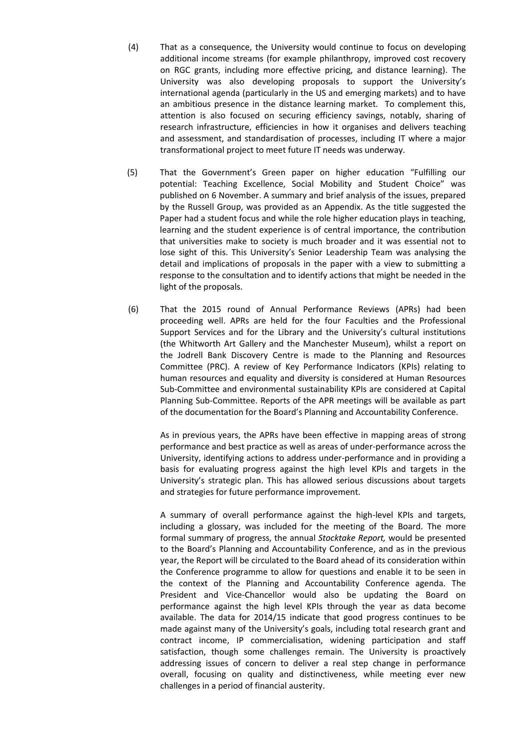- (4) That as a consequence, the University would continue to focus on developing additional income streams (for example philanthropy, improved cost recovery on RGC grants, including more effective pricing, and distance learning). The University was also developing proposals to support the University's international agenda (particularly in the US and emerging markets) and to have an ambitious presence in the distance learning market. To complement this, attention is also focused on securing efficiency savings, notably, sharing of research infrastructure, efficiencies in how it organises and delivers teaching and assessment, and standardisation of processes, including IT where a major transformational project to meet future IT needs was underway.
- (5) That the Government's Green paper on higher education "Fulfilling our potential: Teaching Excellence, Social Mobility and Student Choice" was published on 6 November. A summary and brief analysis of the issues, prepared by the Russell Group, was provided as an Appendix. As the title suggested the Paper had a student focus and while the role higher education plays in teaching, learning and the student experience is of central importance, the contribution that universities make to society is much broader and it was essential not to lose sight of this. This University's Senior Leadership Team was analysing the detail and implications of proposals in the paper with a view to submitting a response to the consultation and to identify actions that might be needed in the light of the proposals.
- (6) That the 2015 round of Annual Performance Reviews (APRs) had been proceeding well. APRs are held for the four Faculties and the Professional Support Services and for the Library and the University's cultural institutions (the Whitworth Art Gallery and the Manchester Museum), whilst a report on the Jodrell Bank Discovery Centre is made to the Planning and Resources Committee (PRC). A review of Key Performance Indicators (KPIs) relating to human resources and equality and diversity is considered at Human Resources Sub-Committee and environmental sustainability KPIs are considered at Capital Planning Sub-Committee. Reports of the APR meetings will be available as part of the documentation for the Board's Planning and Accountability Conference.

As in previous years, the APRs have been effective in mapping areas of strong performance and best practice as well as areas of under-performance across the University, identifying actions to address under-performance and in providing a basis for evaluating progress against the high level KPIs and targets in the University's strategic plan. This has allowed serious discussions about targets and strategies for future performance improvement.

A summary of overall performance against the high-level KPIs and targets, including a glossary, was included for the meeting of the Board. The more formal summary of progress, the annual *Stocktake Report,* would be presented to the Board's Planning and Accountability Conference, and as in the previous year, the Report will be circulated to the Board ahead of its consideration within the Conference programme to allow for questions and enable it to be seen in the context of the Planning and Accountability Conference agenda. The President and Vice-Chancellor would also be updating the Board on performance against the high level KPIs through the year as data become available. The data for 2014/15 indicate that good progress continues to be made against many of the University's goals, including total research grant and contract income, IP commercialisation, widening participation and staff satisfaction, though some challenges remain. The University is proactively addressing issues of concern to deliver a real step change in performance overall, focusing on quality and distinctiveness, while meeting ever new challenges in a period of financial austerity.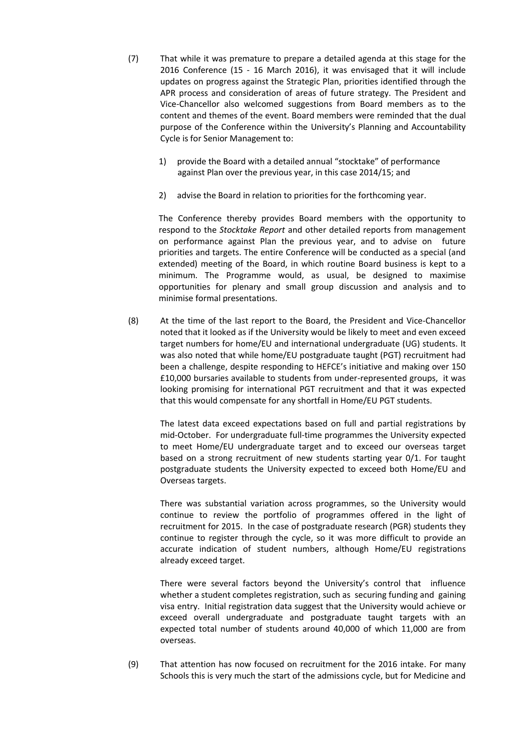- (7) That while it was premature to prepare a detailed agenda at this stage for the 2016 Conference (15 - 16 March 2016), it was envisaged that it will include updates on progress against the Strategic Plan, priorities identified through the APR process and consideration of areas of future strategy. The President and Vice-Chancellor also welcomed suggestions from Board members as to the content and themes of the event. Board members were reminded that the dual purpose of the Conference within the University's Planning and Accountability Cycle is for Senior Management to:
	- 1) provide the Board with a detailed annual "stocktake" of performance against Plan over the previous year, in this case 2014/15; and
	- 2) advise the Board in relation to priorities for the forthcoming year.

The Conference thereby provides Board members with the opportunity to respond to the *Stocktake Report* and other detailed reports from management on performance against Plan the previous year, and to advise on future priorities and targets. The entire Conference will be conducted as a special (and extended) meeting of the Board, in which routine Board business is kept to a minimum. The Programme would, as usual, be designed to maximise opportunities for plenary and small group discussion and analysis and to minimise formal presentations.

(8) At the time of the last report to the Board, the President and Vice-Chancellor noted that it looked as if the University would be likely to meet and even exceed target numbers for home/EU and international undergraduate (UG) students. It was also noted that while home/EU postgraduate taught (PGT) recruitment had been a challenge, despite responding to HEFCE's initiative and making over 150 £10,000 bursaries available to students from under-represented groups, it was looking promising for international PGT recruitment and that it was expected that this would compensate for any shortfall in Home/EU PGT students.

The latest data exceed expectations based on full and partial registrations by mid-October. For undergraduate full-time programmes the University expected to meet Home/EU undergraduate target and to exceed our overseas target based on a strong recruitment of new students starting year 0/1. For taught postgraduate students the University expected to exceed both Home/EU and Overseas targets.

There was substantial variation across programmes, so the University would continue to review the portfolio of programmes offered in the light of recruitment for 2015. In the case of postgraduate research (PGR) students they continue to register through the cycle, so it was more difficult to provide an accurate indication of student numbers, although Home/EU registrations already exceed target.

There were several factors beyond the University's control that influence whether a student completes registration, such as securing funding and gaining visa entry. Initial registration data suggest that the University would achieve or exceed overall undergraduate and postgraduate taught targets with an expected total number of students around 40,000 of which 11,000 are from overseas.

(9) That attention has now focused on recruitment for the 2016 intake. For many Schools this is very much the start of the admissions cycle, but for Medicine and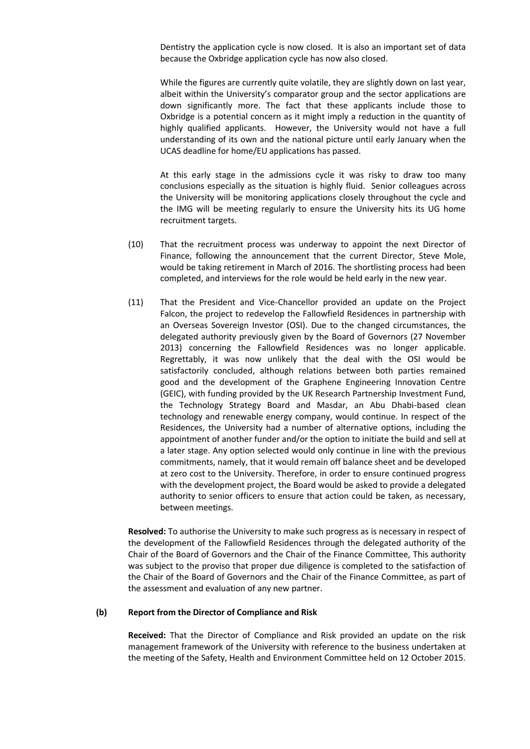Dentistry the application cycle is now closed. It is also an important set of data because the Oxbridge application cycle has now also closed.

While the figures are currently quite volatile, they are slightly down on last year, albeit within the University's comparator group and the sector applications are down significantly more. The fact that these applicants include those to Oxbridge is a potential concern as it might imply a reduction in the quantity of highly qualified applicants. However, the University would not have a full understanding of its own and the national picture until early January when the UCAS deadline for home/EU applications has passed.

At this early stage in the admissions cycle it was risky to draw too many conclusions especially as the situation is highly fluid. Senior colleagues across the University will be monitoring applications closely throughout the cycle and the IMG will be meeting regularly to ensure the University hits its UG home recruitment targets.

- (10) That the recruitment process was underway to appoint the next Director of Finance, following the announcement that the current Director, Steve Mole, would be taking retirement in March of 2016. The shortlisting process had been completed, and interviews for the role would be held early in the new year.
- (11) That the President and Vice-Chancellor provided an update on the Project Falcon, the project to redevelop the Fallowfield Residences in partnership with an Overseas Sovereign Investor (OSI). Due to the changed circumstances, the delegated authority previously given by the Board of Governors (27 November 2013) concerning the Fallowfield Residences was no longer applicable. Regrettably, it was now unlikely that the deal with the OSI would be satisfactorily concluded, although relations between both parties remained good and the development of the Graphene Engineering Innovation Centre (GEIC), with funding provided by the UK Research Partnership Investment Fund, the Technology Strategy Board and Masdar, an Abu Dhabi-based clean technology and renewable energy company, would continue. In respect of the Residences, the University had a number of alternative options, including the appointment of another funder and/or the option to initiate the build and sell at a later stage. Any option selected would only continue in line with the previous commitments, namely, that it would remain off balance sheet and be developed at zero cost to the University. Therefore, in order to ensure continued progress with the development project, the Board would be asked to provide a delegated authority to senior officers to ensure that action could be taken, as necessary, between meetings.

**Resolved:** To authorise the University to make such progress as is necessary in respect of the development of the Fallowfield Residences through the delegated authority of the Chair of the Board of Governors and the Chair of the Finance Committee, This authority was subject to the proviso that proper due diligence is completed to the satisfaction of the Chair of the Board of Governors and the Chair of the Finance Committee, as part of the assessment and evaluation of any new partner.

#### **(b) Report from the Director of Compliance and Risk**

**Received:** That the Director of Compliance and Risk provided an update on the risk management framework of the University with reference to the business undertaken at the meeting of the Safety, Health and Environment Committee held on 12 October 2015.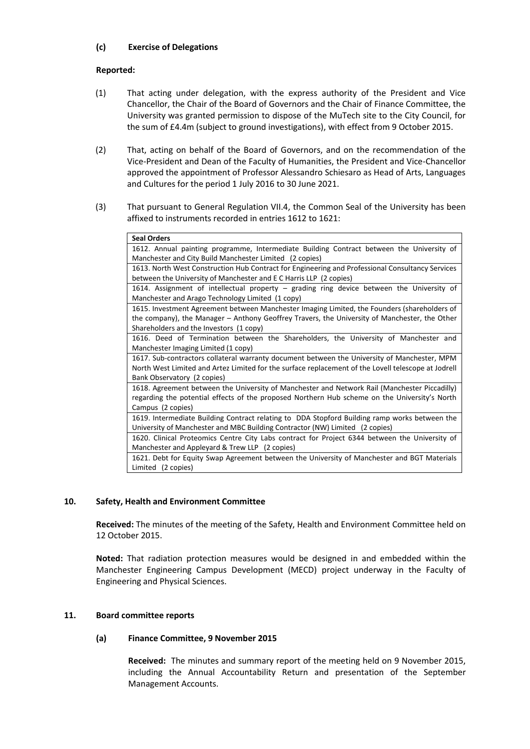# **(c) Exercise of Delegations**

## **Reported:**

- (1) That acting under delegation, with the express authority of the President and Vice Chancellor, the Chair of the Board of Governors and the Chair of Finance Committee, the University was granted permission to dispose of the MuTech site to the City Council, for the sum of £4.4m (subject to ground investigations), with effect from 9 October 2015.
- (2) That, acting on behalf of the Board of Governors, and on the recommendation of the Vice-President and Dean of the Faculty of Humanities, the President and Vice-Chancellor approved the appointment of Professor Alessandro Schiesaro as Head of Arts, Languages and Cultures for the period 1 July 2016 to 30 June 2021.
- (3) That pursuant to General Regulation VII.4, the Common Seal of the University has been affixed to instruments recorded in entries 1612 to 1621:

| <b>Seal Orders</b>                                                                                  |
|-----------------------------------------------------------------------------------------------------|
| 1612. Annual painting programme, Intermediate Building Contract between the University of           |
| Manchester and City Build Manchester Limited (2 copies)                                             |
| 1613. North West Construction Hub Contract for Engineering and Professional Consultancy Services    |
| between the University of Manchester and E C Harris LLP (2 copies)                                  |
| 1614. Assignment of intellectual property - grading ring device between the University of           |
| Manchester and Arago Technology Limited (1 copy)                                                    |
| 1615. Investment Agreement between Manchester Imaging Limited, the Founders (shareholders of        |
| the company), the Manager - Anthony Geoffrey Travers, the University of Manchester, the Other       |
| Shareholders and the Investors (1 copy)                                                             |
| 1616. Deed of Termination between the Shareholders, the University of Manchester and                |
| Manchester Imaging Limited (1 copy)                                                                 |
| 1617. Sub-contractors collateral warranty document between the University of Manchester, MPM        |
| North West Limited and Artez Limited for the surface replacement of the Lovell telescope at Jodrell |
| Bank Observatory (2 copies)                                                                         |
| 1618. Agreement between the University of Manchester and Network Rail (Manchester Piccadilly)       |
| regarding the potential effects of the proposed Northern Hub scheme on the University's North       |
| Campus (2 copies)                                                                                   |
| 1619. Intermediate Building Contract relating to DDA Stopford Building ramp works between the       |
| University of Manchester and MBC Building Contractor (NW) Limited (2 copies)                        |
| 1620. Clinical Proteomics Centre City Labs contract for Project 6344 between the University of      |
| Manchester and Appleyard & Trew LLP (2 copies)                                                      |
| 1621. Debt for Equity Swap Agreement between the University of Manchester and BGT Materials         |
| Limited (2 copies)                                                                                  |

# **10. Safety, Health and Environment Committee**

**Received:** The minutes of the meeting of the Safety, Health and Environment Committee held on 12 October 2015.

**Noted:** That radiation protection measures would be designed in and embedded within the Manchester Engineering Campus Development (MECD) project underway in the Faculty of Engineering and Physical Sciences.

### **11. Board committee reports**

### **(a) Finance Committee, 9 November 2015**

**Received:** The minutes and summary report of the meeting held on 9 November 2015, including the Annual Accountability Return and presentation of the September Management Accounts.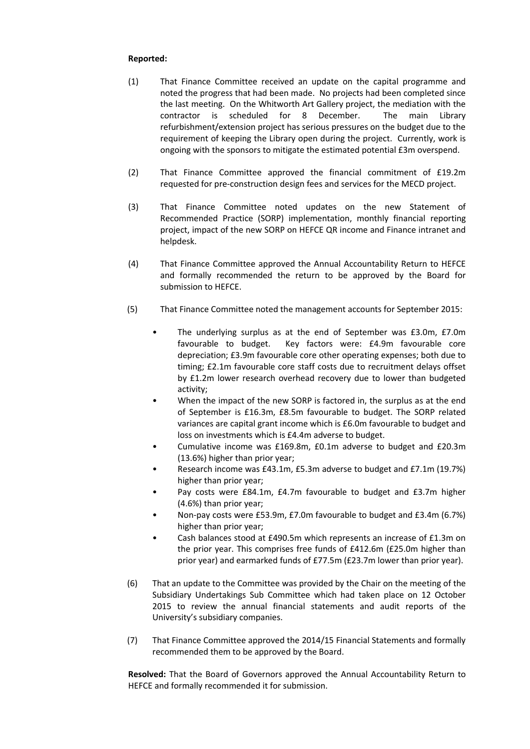## **Reported:**

- (1) That Finance Committee received an update on the capital programme and noted the progress that had been made. No projects had been completed since the last meeting. On the Whitworth Art Gallery project, the mediation with the contractor is scheduled for 8 December. The main Library refurbishment/extension project has serious pressures on the budget due to the requirement of keeping the Library open during the project. Currently, work is ongoing with the sponsors to mitigate the estimated potential £3m overspend.
- (2) That Finance Committee approved the financial commitment of £19.2m requested for pre-construction design fees and services for the MECD project.
- (3) That Finance Committee noted updates on the new Statement of Recommended Practice (SORP) implementation, monthly financial reporting project, impact of the new SORP on HEFCE QR income and Finance intranet and helpdesk.
- (4) That Finance Committee approved the Annual Accountability Return to HEFCE and formally recommended the return to be approved by the Board for submission to HEFCE.
- (5) That Finance Committee noted the management accounts for September 2015:
	- The underlying surplus as at the end of September was £3.0m, £7.0m favourable to budget. Key factors were: £4.9m favourable core depreciation; £3.9m favourable core other operating expenses; both due to timing; £2.1m favourable core staff costs due to recruitment delays offset by £1.2m lower research overhead recovery due to lower than budgeted activity;
	- When the impact of the new SORP is factored in, the surplus as at the end of September is £16.3m, £8.5m favourable to budget. The SORP related variances are capital grant income which is £6.0m favourable to budget and loss on investments which is £4.4m adverse to budget.
	- Cumulative income was £169.8m, £0.1m adverse to budget and £20.3m (13.6%) higher than prior year;
	- Research income was £43.1m, £5.3m adverse to budget and £7.1m (19.7%) higher than prior year;
	- Pay costs were £84.1m, £4.7m favourable to budget and £3.7m higher (4.6%) than prior year;
	- Non-pay costs were £53.9m, £7.0m favourable to budget and £3.4m (6.7%) higher than prior year;
	- Cash balances stood at £490.5m which represents an increase of £1.3m on the prior year. This comprises free funds of £412.6m (£25.0m higher than prior year) and earmarked funds of £77.5m (£23.7m lower than prior year).
- (6) That an update to the Committee was provided by the Chair on the meeting of the Subsidiary Undertakings Sub Committee which had taken place on 12 October 2015 to review the annual financial statements and audit reports of the University's subsidiary companies.
- (7) That Finance Committee approved the 2014/15 Financial Statements and formally recommended them to be approved by the Board.

**Resolved:** That the Board of Governors approved the Annual Accountability Return to HEFCE and formally recommended it for submission.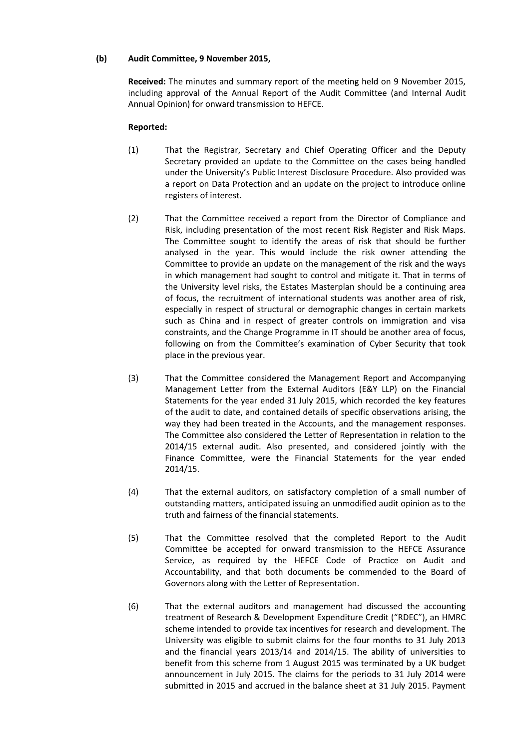## **(b) Audit Committee, 9 November 2015,**

**Received:** The minutes and summary report of the meeting held on 9 November 2015, including approval of the Annual Report of the Audit Committee (and Internal Audit Annual Opinion) for onward transmission to HEFCE.

- (1) That the Registrar, Secretary and Chief Operating Officer and the Deputy Secretary provided an update to the Committee on the cases being handled under the University's Public Interest Disclosure Procedure. Also provided was a report on Data Protection and an update on the project to introduce online registers of interest.
- (2) That the Committee received a report from the Director of Compliance and Risk, including presentation of the most recent Risk Register and Risk Maps. The Committee sought to identify the areas of risk that should be further analysed in the year. This would include the risk owner attending the Committee to provide an update on the management of the risk and the ways in which management had sought to control and mitigate it. That in terms of the University level risks, the Estates Masterplan should be a continuing area of focus, the recruitment of international students was another area of risk, especially in respect of structural or demographic changes in certain markets such as China and in respect of greater controls on immigration and visa constraints, and the Change Programme in IT should be another area of focus, following on from the Committee's examination of Cyber Security that took place in the previous year.
- (3) That the Committee considered the Management Report and Accompanying Management Letter from the External Auditors (E&Y LLP) on the Financial Statements for the year ended 31 July 2015, which recorded the key features of the audit to date, and contained details of specific observations arising, the way they had been treated in the Accounts, and the management responses. The Committee also considered the Letter of Representation in relation to the 2014/15 external audit. Also presented, and considered jointly with the Finance Committee, were the Financial Statements for the year ended 2014/15.
- (4) That the external auditors, on satisfactory completion of a small number of outstanding matters, anticipated issuing an unmodified audit opinion as to the truth and fairness of the financial statements.
- (5) That the Committee resolved that the completed Report to the Audit Committee be accepted for onward transmission to the HEFCE Assurance Service, as required by the HEFCE Code of Practice on Audit and Accountability, and that both documents be commended to the Board of Governors along with the Letter of Representation.
- (6) That the external auditors and management had discussed the accounting treatment of Research & Development Expenditure Credit ("RDEC"), an HMRC scheme intended to provide tax incentives for research and development. The University was eligible to submit claims for the four months to 31 July 2013 and the financial years 2013/14 and 2014/15. The ability of universities to benefit from this scheme from 1 August 2015 was terminated by a UK budget announcement in July 2015. The claims for the periods to 31 July 2014 were submitted in 2015 and accrued in the balance sheet at 31 July 2015. Payment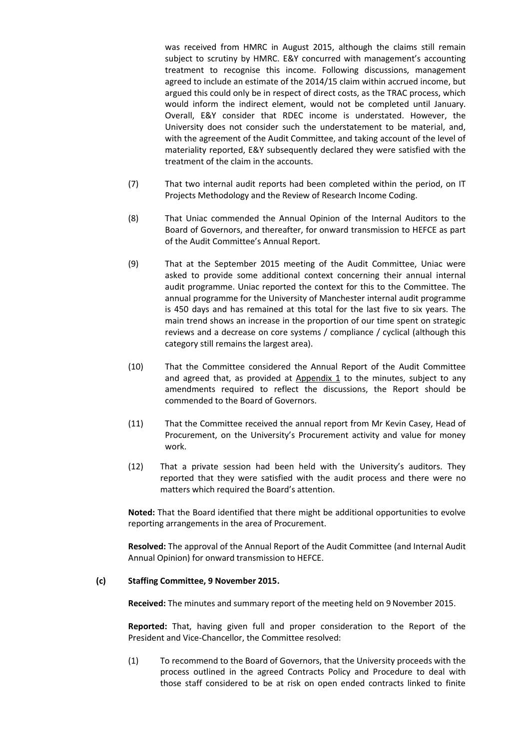was received from HMRC in August 2015, although the claims still remain subject to scrutiny by HMRC. E&Y concurred with management's accounting treatment to recognise this income. Following discussions, management agreed to include an estimate of the 2014/15 claim within accrued income, but argued this could only be in respect of direct costs, as the TRAC process, which would inform the indirect element, would not be completed until January. Overall, E&Y consider that RDEC income is understated. However, the University does not consider such the understatement to be material, and, with the agreement of the Audit Committee, and taking account of the level of materiality reported, E&Y subsequently declared they were satisfied with the treatment of the claim in the accounts.

- (7) That two internal audit reports had been completed within the period, on IT Projects Methodology and the Review of Research Income Coding.
- (8) That Uniac commended the Annual Opinion of the Internal Auditors to the Board of Governors, and thereafter, for onward transmission to HEFCE as part of the Audit Committee's Annual Report.
- (9) That at the September 2015 meeting of the Audit Committee, Uniac were asked to provide some additional context concerning their annual internal audit programme. Uniac reported the context for this to the Committee. The annual programme for the University of Manchester internal audit programme is 450 days and has remained at this total for the last five to six years. The main trend shows an increase in the proportion of our time spent on strategic reviews and a decrease on core systems / compliance / cyclical (although this category still remains the largest area).
- (10) That the Committee considered the Annual Report of the Audit Committee and agreed that, as provided at Appendix 1 to the minutes, subject to any amendments required to reflect the discussions, the Report should be commended to the Board of Governors.
- (11) That the Committee received the annual report from Mr Kevin Casey, Head of Procurement, on the University's Procurement activity and value for money work.
- (12) That a private session had been held with the University's auditors. They reported that they were satisfied with the audit process and there were no matters which required the Board's attention.

**Noted:** That the Board identified that there might be additional opportunities to evolve reporting arrangements in the area of Procurement.

**Resolved:** The approval of the Annual Report of the Audit Committee (and Internal Audit Annual Opinion) for onward transmission to HEFCE.

### **(c) Staffing Committee, 9 November 2015.**

**Received:** The minutes and summary report of the meeting held on 9November 2015.

**Reported:** That, having given full and proper consideration to the Report of the President and Vice-Chancellor, the Committee resolved:

(1) To recommend to the Board of Governors, that the University proceeds with the process outlined in the agreed Contracts Policy and Procedure to deal with those staff considered to be at risk on open ended contracts linked to finite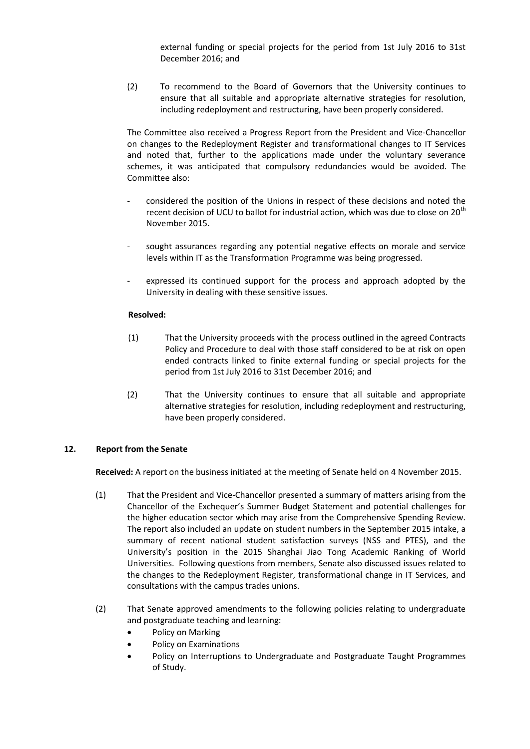external funding or special projects for the period from 1st July 2016 to 31st December 2016; and

(2) To recommend to the Board of Governors that the University continues to ensure that all suitable and appropriate alternative strategies for resolution, including redeployment and restructuring, have been properly considered.

The Committee also received a Progress Report from the President and Vice-Chancellor on changes to the Redeployment Register and transformational changes to IT Services and noted that, further to the applications made under the voluntary severance schemes, it was anticipated that compulsory redundancies would be avoided. The Committee also:

- considered the position of the Unions in respect of these decisions and noted the recent decision of UCU to ballot for industrial action, which was due to close on 20<sup>th</sup> November 2015.
- sought assurances regarding any potential negative effects on morale and service levels within IT as the Transformation Programme was being progressed.
- expressed its continued support for the process and approach adopted by the University in dealing with these sensitive issues.

# **Resolved:**

- (1) That the University proceeds with the process outlined in the agreed Contracts Policy and Procedure to deal with those staff considered to be at risk on open ended contracts linked to finite external funding or special projects for the period from 1st July 2016 to 31st December 2016; and
- (2) That the University continues to ensure that all suitable and appropriate alternative strategies for resolution, including redeployment and restructuring, have been properly considered.

# **12. Report from the Senate**

**Received:** A report on the business initiated at the meeting of Senate held on 4 November 2015.

- (1) That the President and Vice-Chancellor presented a summary of matters arising from the Chancellor of the Exchequer's Summer Budget Statement and potential challenges for the higher education sector which may arise from the Comprehensive Spending Review. The report also included an update on student numbers in the September 2015 intake, a summary of recent national student satisfaction surveys (NSS and PTES), and the University's position in the 2015 Shanghai Jiao Tong Academic Ranking of World Universities. Following questions from members, Senate also discussed issues related to the changes to the Redeployment Register, transformational change in IT Services, and consultations with the campus trades unions.
- (2) That Senate approved amendments to the following policies relating to undergraduate and postgraduate teaching and learning:
	- Policy on Marking
	- Policy on Examinations
	- Policy on Interruptions to Undergraduate and Postgraduate Taught Programmes of Study.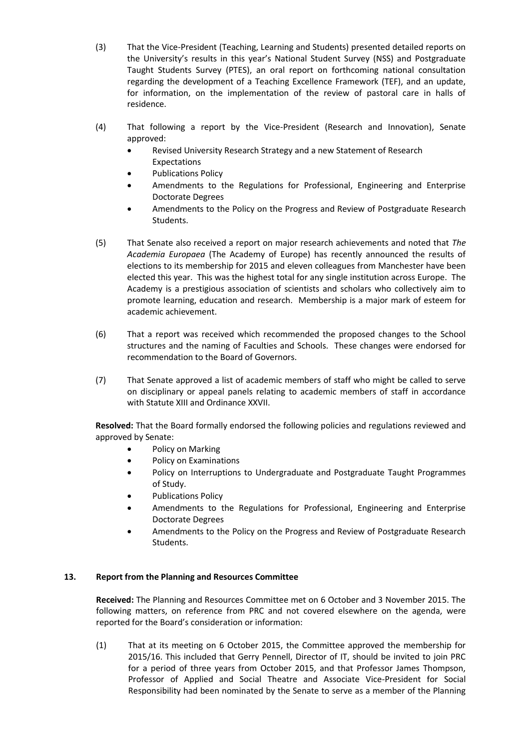- (3) That the Vice-President (Teaching, Learning and Students) presented detailed reports on the University's results in this year's National Student Survey (NSS) and Postgraduate Taught Students Survey (PTES), an oral report on forthcoming national consultation regarding the development of a Teaching Excellence Framework (TEF), and an update, for information, on the implementation of the review of pastoral care in halls of residence.
- (4) That following a report by the Vice-President (Research and Innovation), Senate approved:
	- Revised University Research Strategy and a new Statement of Research Expectations
	- Publications Policy
	- Amendments to the Regulations for Professional, Engineering and Enterprise Doctorate Degrees
	- Amendments to the Policy on the Progress and Review of Postgraduate Research Students.
- (5) That Senate also received a report on major research achievements and noted that *The Academia Europaea* (The Academy of Europe) has recently announced the results of elections to its membership for 2015 and eleven colleagues from Manchester have been elected this year. This was the highest total for any single institution across Europe. The Academy is a prestigious association of scientists and scholars who collectively aim to promote learning, education and research. Membership is a major mark of esteem for academic achievement.
- (6) That a report was received which recommended the proposed changes to the School structures and the naming of Faculties and Schools. These changes were endorsed for recommendation to the Board of Governors.
- (7) That Senate approved a list of academic members of staff who might be called to serve on disciplinary or appeal panels relating to academic members of staff in accordance with Statute XIII and Ordinance XXVII.

**Resolved:** That the Board formally endorsed the following policies and regulations reviewed and approved by Senate:

- Policy on Marking
- Policy on Examinations
- Policy on Interruptions to Undergraduate and Postgraduate Taught Programmes of Study.
- Publications Policy
- Amendments to the Regulations for Professional, Engineering and Enterprise Doctorate Degrees
- Amendments to the Policy on the Progress and Review of Postgraduate Research Students.

# **13. Report from the Planning and Resources Committee**

**Received:** The Planning and Resources Committee met on 6 October and 3 November 2015. The following matters, on reference from PRC and not covered elsewhere on the agenda, were reported for the Board's consideration or information:

(1) That at its meeting on 6 October 2015, the Committee approved the membership for 2015/16. This included that Gerry Pennell, Director of IT, should be invited to join PRC for a period of three years from October 2015, and that Professor James Thompson, Professor of Applied and Social Theatre and Associate Vice-President for Social Responsibility had been nominated by the Senate to serve as a member of the Planning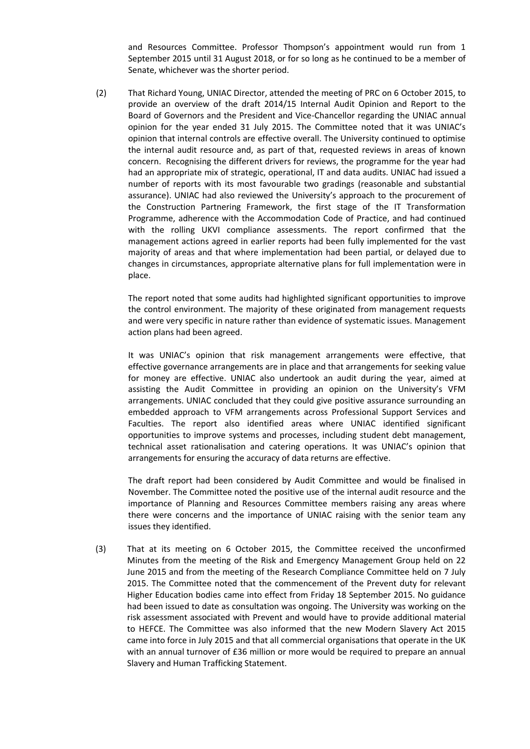and Resources Committee. Professor Thompson's appointment would run from 1 September 2015 until 31 August 2018, or for so long as he continued to be a member of Senate, whichever was the shorter period.

(2) That Richard Young, UNIAC Director, attended the meeting of PRC on 6 October 2015, to provide an overview of the draft 2014/15 Internal Audit Opinion and Report to the Board of Governors and the President and Vice-Chancellor regarding the UNIAC annual opinion for the year ended 31 July 2015. The Committee noted that it was UNIAC's opinion that internal controls are effective overall. The University continued to optimise the internal audit resource and, as part of that, requested reviews in areas of known concern. Recognising the different drivers for reviews, the programme for the year had had an appropriate mix of strategic, operational, IT and data audits. UNIAC had issued a number of reports with its most favourable two gradings (reasonable and substantial assurance). UNIAC had also reviewed the University's approach to the procurement of the Construction Partnering Framework, the first stage of the IT Transformation Programme, adherence with the Accommodation Code of Practice, and had continued with the rolling UKVI compliance assessments. The report confirmed that the management actions agreed in earlier reports had been fully implemented for the vast majority of areas and that where implementation had been partial, or delayed due to changes in circumstances, appropriate alternative plans for full implementation were in place.

The report noted that some audits had highlighted significant opportunities to improve the control environment. The majority of these originated from management requests and were very specific in nature rather than evidence of systematic issues. Management action plans had been agreed.

It was UNIAC's opinion that risk management arrangements were effective, that effective governance arrangements are in place and that arrangements for seeking value for money are effective. UNIAC also undertook an audit during the year, aimed at assisting the Audit Committee in providing an opinion on the University's VFM arrangements. UNIAC concluded that they could give positive assurance surrounding an embedded approach to VFM arrangements across Professional Support Services and Faculties. The report also identified areas where UNIAC identified significant opportunities to improve systems and processes, including student debt management, technical asset rationalisation and catering operations. It was UNIAC's opinion that arrangements for ensuring the accuracy of data returns are effective.

The draft report had been considered by Audit Committee and would be finalised in November. The Committee noted the positive use of the internal audit resource and the importance of Planning and Resources Committee members raising any areas where there were concerns and the importance of UNIAC raising with the senior team any issues they identified.

(3) That at its meeting on 6 October 2015, the Committee received the unconfirmed Minutes from the meeting of the Risk and Emergency Management Group held on 22 June 2015 and from the meeting of the Research Compliance Committee held on 7 July 2015. The Committee noted that the commencement of the Prevent duty for relevant Higher Education bodies came into effect from Friday 18 September 2015. No guidance had been issued to date as consultation was ongoing. The University was working on the risk assessment associated with Prevent and would have to provide additional material to HEFCE. The Committee was also informed that the new Modern Slavery Act 2015 came into force in July 2015 and that all commercial organisations that operate in the UK with an annual turnover of £36 million or more would be required to prepare an annual Slavery and Human Trafficking Statement.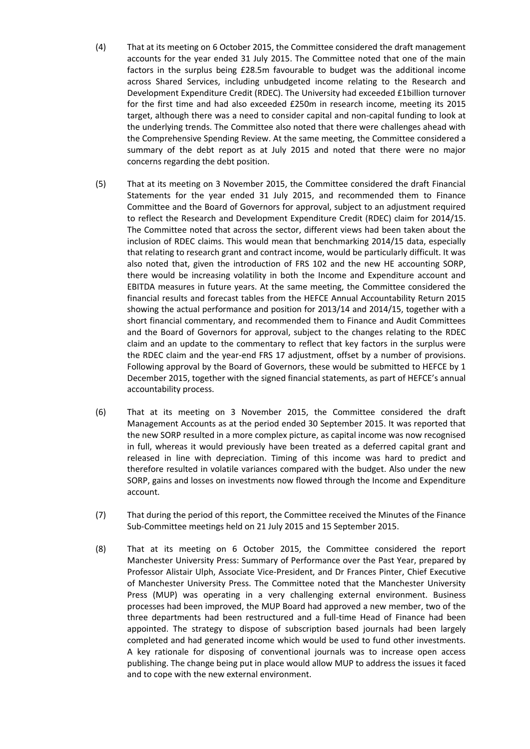- (4) That at its meeting on 6 October 2015, the Committee considered the draft management accounts for the year ended 31 July 2015. The Committee noted that one of the main factors in the surplus being £28.5m favourable to budget was the additional income across Shared Services, including unbudgeted income relating to the Research and Development Expenditure Credit (RDEC). The University had exceeded £1billion turnover for the first time and had also exceeded £250m in research income, meeting its 2015 target, although there was a need to consider capital and non-capital funding to look at the underlying trends. The Committee also noted that there were challenges ahead with the Comprehensive Spending Review. At the same meeting, the Committee considered a summary of the debt report as at July 2015 and noted that there were no major concerns regarding the debt position.
- (5) That at its meeting on 3 November 2015, the Committee considered the draft Financial Statements for the year ended 31 July 2015, and recommended them to Finance Committee and the Board of Governors for approval, subject to an adjustment required to reflect the Research and Development Expenditure Credit (RDEC) claim for 2014/15. The Committee noted that across the sector, different views had been taken about the inclusion of RDEC claims. This would mean that benchmarking 2014/15 data, especially that relating to research grant and contract income, would be particularly difficult. It was also noted that, given the introduction of FRS 102 and the new HE accounting SORP, there would be increasing volatility in both the Income and Expenditure account and EBITDA measures in future years. At the same meeting, the Committee considered the financial results and forecast tables from the HEFCE Annual Accountability Return 2015 showing the actual performance and position for 2013/14 and 2014/15, together with a short financial commentary, and recommended them to Finance and Audit Committees and the Board of Governors for approval, subject to the changes relating to the RDEC claim and an update to the commentary to reflect that key factors in the surplus were the RDEC claim and the year-end FRS 17 adjustment, offset by a number of provisions. Following approval by the Board of Governors, these would be submitted to HEFCE by 1 December 2015, together with the signed financial statements, as part of HEFCE's annual accountability process.
- (6) That at its meeting on 3 November 2015, the Committee considered the draft Management Accounts as at the period ended 30 September 2015. It was reported that the new SORP resulted in a more complex picture, as capital income was now recognised in full, whereas it would previously have been treated as a deferred capital grant and released in line with depreciation. Timing of this income was hard to predict and therefore resulted in volatile variances compared with the budget. Also under the new SORP, gains and losses on investments now flowed through the Income and Expenditure account.
- (7) That during the period of this report, the Committee received the Minutes of the Finance Sub-Committee meetings held on 21 July 2015 and 15 September 2015.
- (8) That at its meeting on 6 October 2015, the Committee considered the report Manchester University Press: Summary of Performance over the Past Year, prepared by Professor Alistair Ulph, Associate Vice-President, and Dr Frances Pinter, Chief Executive of Manchester University Press. The Committee noted that the Manchester University Press (MUP) was operating in a very challenging external environment. Business processes had been improved, the MUP Board had approved a new member, two of the three departments had been restructured and a full-time Head of Finance had been appointed. The strategy to dispose of subscription based journals had been largely completed and had generated income which would be used to fund other investments. A key rationale for disposing of conventional journals was to increase open access publishing. The change being put in place would allow MUP to address the issues it faced and to cope with the new external environment.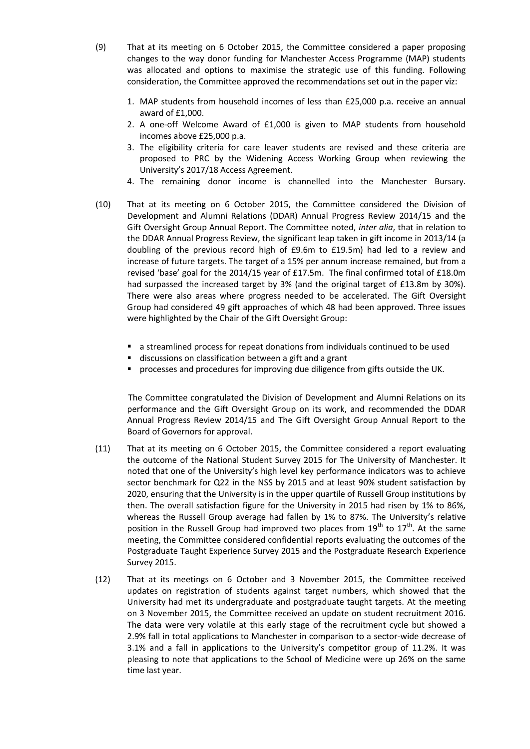- (9) That at its meeting on 6 October 2015, the Committee considered a paper proposing changes to the way donor funding for Manchester Access Programme (MAP) students was allocated and options to maximise the strategic use of this funding. Following consideration, the Committee approved the recommendations set out in the paper viz:
	- 1. MAP students from household incomes of less than £25,000 p.a. receive an annual award of £1,000.
	- 2. A one-off Welcome Award of £1,000 is given to MAP students from household incomes above £25,000 p.a.
	- 3. The eligibility criteria for care leaver students are revised and these criteria are proposed to PRC by the Widening Access Working Group when reviewing the University's 2017/18 Access Agreement.
	- 4. The remaining donor income is channelled into the Manchester Bursary.
- (10) That at its meeting on 6 October 2015, the Committee considered the Division of Development and Alumni Relations (DDAR) Annual Progress Review 2014/15 and the Gift Oversight Group Annual Report. The Committee noted, *inter alia*, that in relation to the DDAR Annual Progress Review, the significant leap taken in gift income in 2013/14 (a doubling of the previous record high of £9.6m to £19.5m) had led to a review and increase of future targets. The target of a 15% per annum increase remained, but from a revised 'base' goal for the 2014/15 year of £17.5m. The final confirmed total of £18.0m had surpassed the increased target by 3% (and the original target of £13.8m by 30%). There were also areas where progress needed to be accelerated. The Gift Oversight Group had considered 49 gift approaches of which 48 had been approved. Three issues were highlighted by the Chair of the Gift Oversight Group:
	- a streamlined process for repeat donations from individuals continued to be used
	- discussions on classification between a gift and a grant
	- **PEDRIM** processes and procedures for improving due diligence from gifts outside the UK.

The Committee congratulated the Division of Development and Alumni Relations on its performance and the Gift Oversight Group on its work, and recommended the DDAR Annual Progress Review 2014/15 and The Gift Oversight Group Annual Report to the Board of Governors for approval.

- (11) That at its meeting on 6 October 2015, the Committee considered a report evaluating the outcome of the National Student Survey 2015 for The University of Manchester. It noted that one of the University's high level key performance indicators was to achieve sector benchmark for Q22 in the NSS by 2015 and at least 90% student satisfaction by 2020, ensuring that the University is in the upper quartile of Russell Group institutions by then. The overall satisfaction figure for the University in 2015 had risen by 1% to 86%, whereas the Russell Group average had fallen by 1% to 87%. The University's relative position in the Russell Group had improved two places from  $19^{th}$  to  $17^{th}$ . At the same meeting, the Committee considered confidential reports evaluating the outcomes of the Postgraduate Taught Experience Survey 2015 and the Postgraduate Research Experience Survey 2015.
- (12) That at its meetings on 6 October and 3 November 2015, the Committee received updates on registration of students against target numbers, which showed that the University had met its undergraduate and postgraduate taught targets. At the meeting on 3 November 2015, the Committee received an update on student recruitment 2016. The data were very volatile at this early stage of the recruitment cycle but showed a 2.9% fall in total applications to Manchester in comparison to a sector-wide decrease of 3.1% and a fall in applications to the University's competitor group of 11.2%. It was pleasing to note that applications to the School of Medicine were up 26% on the same time last year.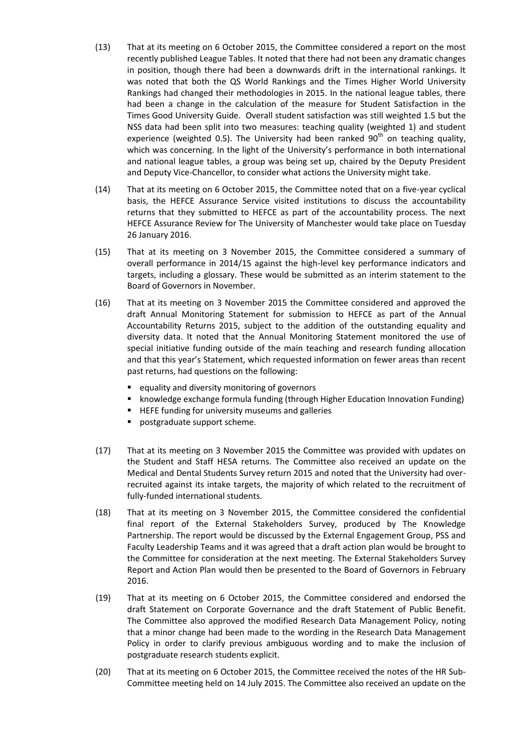- (13) That at its meeting on 6 October 2015, the Committee considered a report on the most recently published League Tables. It noted that there had not been any dramatic changes in position, though there had been a downwards drift in the international rankings. It was noted that both the QS World Rankings and the Times Higher World University Rankings had changed their methodologies in 2015. In the national league tables, there had been a change in the calculation of the measure for Student Satisfaction in the Times Good University Guide. Overall student satisfaction was still weighted 1.5 but the NSS data had been split into two measures: teaching quality (weighted 1) and student experience (weighted 0.5). The University had been ranked  $90<sup>th</sup>$  on teaching quality, which was concerning. In the light of the University's performance in both international and national league tables, a group was being set up, chaired by the Deputy President and Deputy Vice-Chancellor, to consider what actions the University might take.
- (14) That at its meeting on 6 October 2015, the Committee noted that on a five-year cyclical basis, the HEFCE Assurance Service visited institutions to discuss the accountability returns that they submitted to HEFCE as part of the accountability process. The next HEFCE Assurance Review for The University of Manchester would take place on Tuesday 26 January 2016.
- (15) That at its meeting on 3 November 2015, the Committee considered a summary of overall performance in 2014/15 against the high-level key performance indicators and targets, including a glossary. These would be submitted as an interim statement to the Board of Governors in November.
- (16) That at its meeting on 3 November 2015 the Committee considered and approved the draft Annual Monitoring Statement for submission to HEFCE as part of the Annual Accountability Returns 2015, subject to the addition of the outstanding equality and diversity data. It noted that the Annual Monitoring Statement monitored the use of special initiative funding outside of the main teaching and research funding allocation and that this year's Statement, which requested information on fewer areas than recent past returns, had questions on the following:
	- **e** equality and diversity monitoring of governors
	- **EX howledge exchange formula funding (through Higher Education Innovation Funding)**
	- **HEFE funding for university museums and galleries**
	- **postgraduate support scheme.**
- (17) That at its meeting on 3 November 2015 the Committee was provided with updates on the Student and Staff HESA returns. The Committee also received an update on the Medical and Dental Students Survey return 2015 and noted that the University had overrecruited against its intake targets, the majority of which related to the recruitment of fully-funded international students.
- (18) That at its meeting on 3 November 2015, the Committee considered the confidential final report of the External Stakeholders Survey, produced by The Knowledge Partnership. The report would be discussed by the External Engagement Group, PSS and Faculty Leadership Teams and it was agreed that a draft action plan would be brought to the Committee for consideration at the next meeting. The External Stakeholders Survey Report and Action Plan would then be presented to the Board of Governors in February 2016.
- (19) That at its meeting on 6 October 2015, the Committee considered and endorsed the draft Statement on Corporate Governance and the draft Statement of Public Benefit. The Committee also approved the modified Research Data Management Policy, noting that a minor change had been made to the wording in the Research Data Management Policy in order to clarify previous ambiguous wording and to make the inclusion of postgraduate research students explicit.
- (20) That at its meeting on 6 October 2015, the Committee received the notes of the HR Sub-Committee meeting held on 14 July 2015. The Committee also received an update on the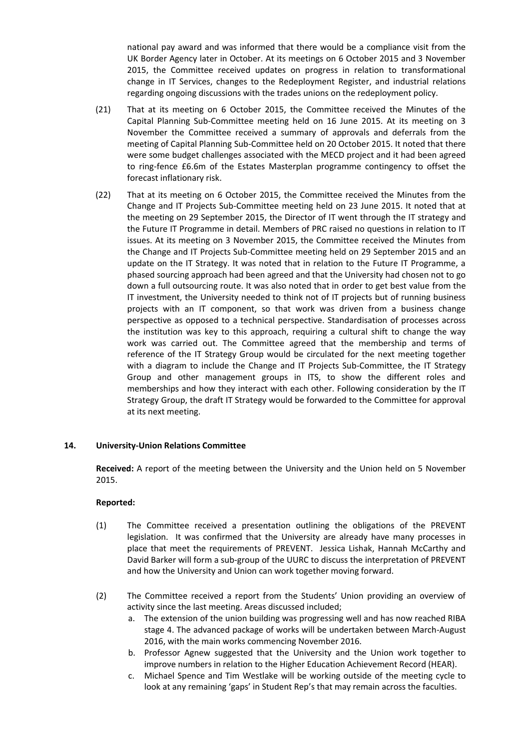national pay award and was informed that there would be a compliance visit from the UK Border Agency later in October. At its meetings on 6 October 2015 and 3 November 2015, the Committee received updates on progress in relation to transformational change in IT Services, changes to the Redeployment Register, and industrial relations regarding ongoing discussions with the trades unions on the redeployment policy.

- (21) That at its meeting on 6 October 2015, the Committee received the Minutes of the Capital Planning Sub-Committee meeting held on 16 June 2015. At its meeting on 3 November the Committee received a summary of approvals and deferrals from the meeting of Capital Planning Sub-Committee held on 20 October 2015. It noted that there were some budget challenges associated with the MECD project and it had been agreed to ring-fence £6.6m of the Estates Masterplan programme contingency to offset the forecast inflationary risk.
- (22) That at its meeting on 6 October 2015, the Committee received the Minutes from the Change and IT Projects Sub-Committee meeting held on 23 June 2015. It noted that at the meeting on 29 September 2015, the Director of IT went through the IT strategy and the Future IT Programme in detail. Members of PRC raised no questions in relation to IT issues. At its meeting on 3 November 2015, the Committee received the Minutes from the Change and IT Projects Sub-Committee meeting held on 29 September 2015 and an update on the IT Strategy. It was noted that in relation to the Future IT Programme, a phased sourcing approach had been agreed and that the University had chosen not to go down a full outsourcing route. It was also noted that in order to get best value from the IT investment, the University needed to think not of IT projects but of running business projects with an IT component, so that work was driven from a business change perspective as opposed to a technical perspective. Standardisation of processes across the institution was key to this approach, requiring a cultural shift to change the way work was carried out. The Committee agreed that the membership and terms of reference of the IT Strategy Group would be circulated for the next meeting together with a diagram to include the Change and IT Projects Sub-Committee, the IT Strategy Group and other management groups in ITS, to show the different roles and memberships and how they interact with each other. Following consideration by the IT Strategy Group, the draft IT Strategy would be forwarded to the Committee for approval at its next meeting.

# **14. University-Union Relations Committee**

**Received:** A report of the meeting between the University and the Union held on 5 November 2015.

- (1) The Committee received a presentation outlining the obligations of the PREVENT legislation. It was confirmed that the University are already have many processes in place that meet the requirements of PREVENT. Jessica Lishak, Hannah McCarthy and David Barker will form a sub-group of the UURC to discuss the interpretation of PREVENT and how the University and Union can work together moving forward.
- (2) The Committee received a report from the Students' Union providing an overview of activity since the last meeting. Areas discussed included;
	- a. The extension of the union building was progressing well and has now reached RIBA stage 4. The advanced package of works will be undertaken between March-August 2016, with the main works commencing November 2016.
	- b. Professor Agnew suggested that the University and the Union work together to improve numbers in relation to the Higher Education Achievement Record (HEAR).
	- c. Michael Spence and Tim Westlake will be working outside of the meeting cycle to look at any remaining 'gaps' in Student Rep's that may remain across the faculties.